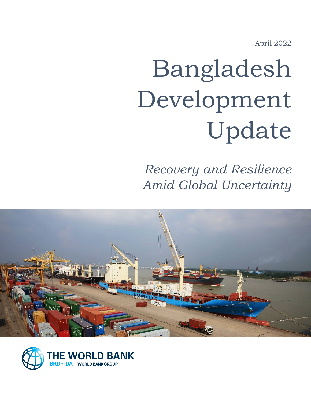April 2022

# Bangladesh Development Update

*Recovery and Resilience Amid Global Uncertainty*



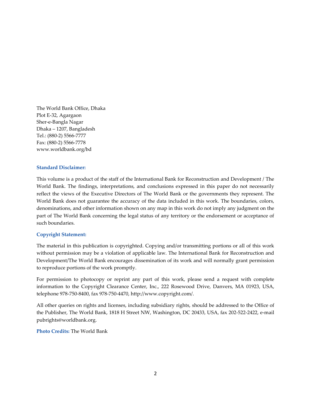The World Bank Office, Dhaka Plot E-32, Agargaon Sher-e-Bangla Nagar Dhaka – 1207, Bangladesh Tel.: (880-2) 5566-7777 Fax: (880-2) 5566-7778 www.worldbank.org/bd

#### **Standard Disclaimer:**

This volume is a product of the staff of the International Bank for Reconstruction and Development / The World Bank. The findings, interpretations, and conclusions expressed in this paper do not necessarily reflect the views of the Executive Directors of The World Bank or the governments they represent. The World Bank does not guarantee the accuracy of the data included in this work. The boundaries, colors, denominations, and other information shown on any map in this work do not imply any judgment on the part of The World Bank concerning the legal status of any territory or the endorsement or acceptance of such boundaries.

#### **Copyright Statement:**

The material in this publication is copyrighted. Copying and/or transmitting portions or all of this work without permission may be a violation of applicable law. The International Bank for Reconstruction and Development/The World Bank encourages dissemination of its work and will normally grant permission to reproduce portions of the work promptly.

For permission to photocopy or reprint any part of this work, please send a request with complete information to the Copyright Clearance Center, Inc., 222 Rosewood Drive, Danvers, MA 01923, USA, telephone 978-750-8400, fax 978-750-4470, http://www.copyright.com/.

All other queries on rights and licenses, including subsidiary rights, should be addressed to the Office of the Publisher, The World Bank, 1818 H Street NW, Washington, DC 20433, USA, fax 202-522-2422, e-mail pubrights@worldbank.org.

**Photo Credits:** The World Bank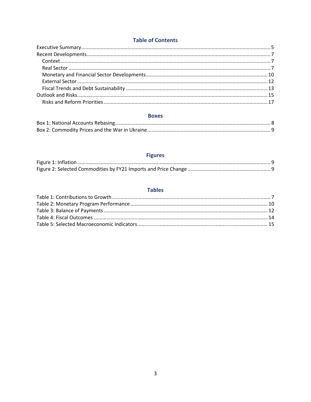## **Table of Contents**

#### **Boxes**

# **Figures**

### **Tables**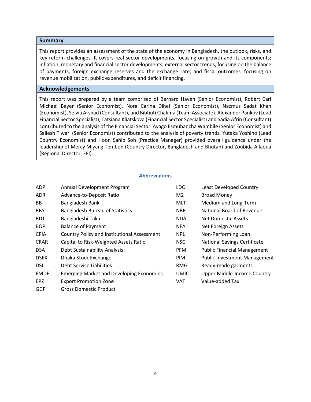#### **Summary**

This report provides an assessment of the state of the economy in Bangladesh, the outlook, risks, and key reform challenges. It covers real sector developments, focusing on growth and its components; inflation; monetary and financial sector developments; external sector trends, focusing on the balance of payments, foreign exchange reserves and the exchange rate; and fiscal outcomes, focusing on revenue mobilization, public expenditures, and deficit financing.

#### **Acknowledgements**

This report was prepared by a team comprised of Bernard Haven (Senior Economist), Robert Carl Michael Beyer (Senior Economist), Nora Carina Dihel (Senior Economist), Nazmus Sadat Khan (Economist), Selvia Arshad (Consultant), and Bibhuti Chakma (Team Associate). Alexander Pankov (Lead Financial Sector Specialist), Tatsiana Kliatskova (Financial Sector Specialist) and Sadia Afrin (Consultant) contributed to the analysis of the Financial Sector. Ayago Esmubancha Wambile (Senior Economist) and Sailesh Tiwari (Senior Economist) contributed to the analysis of poverty trends. Yutaka Yoshino (Lead Country Economist) and Hoon Sahib Soh (Practice Manager) provided overall guidance under the leadership of Mercy Miyang Tembon (Country Director, Bangladesh and Bhutan) and Zoubida Allaoua (Regional Director, EFI).

#### **Abbreviations**

| <b>ADP</b>  | Annual Development Program                         | <b>LDC</b>     | <b>Least Developed Country</b>      |
|-------------|----------------------------------------------------|----------------|-------------------------------------|
| <b>ADR</b>  | Advance-to-Deposit Ratio                           | M <sub>2</sub> | <b>Broad Money</b>                  |
| <b>BB</b>   | Bangladesh Bank                                    | <b>MLT</b>     | Medium and Long-Term                |
| <b>BBS</b>  | <b>Bangladesh Bureau of Statistics</b>             | <b>NBR</b>     | National Board of Revenue           |
| <b>BDT</b>  | Bangladeshi Taka                                   | <b>NDA</b>     | Net Domestic Assets                 |
| <b>BOP</b>  | <b>Balance of Payment</b>                          | <b>NFA</b>     | Net Foreign Assets                  |
| <b>CPIA</b> | <b>Country Policy and Institutional Assessment</b> | <b>NPL</b>     | Non-Performing Loan                 |
| <b>CRAR</b> | Capital to Risk-Weighted Assets Ratio              | <b>NSC</b>     | <b>National Savings Certificate</b> |
| <b>DSA</b>  | Debt Sustainability Analysis                       | <b>PFM</b>     | <b>Public Financial Management</b>  |
| <b>DSEX</b> | Dhaka Stock Exchange                               | <b>PIM</b>     | <b>Public Investment Management</b> |
| <b>DSL</b>  | Debt Service Liabilities                           | <b>RMG</b>     | Ready-made garments                 |
| <b>EMDE</b> | <b>Emerging Market and Developing Economies</b>    | <b>UMIC</b>    | <b>Upper Middle-Income Country</b>  |
| <b>EPZ</b>  | <b>Export Promotion Zone</b>                       | <b>VAT</b>     | Value-added Tax                     |
| GDP         | <b>Gross Domestic Product</b>                      |                |                                     |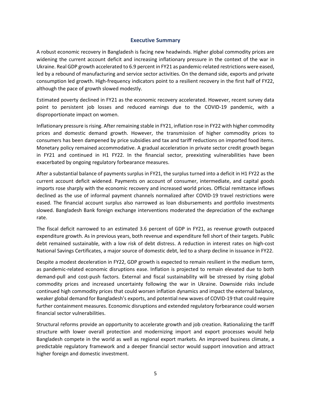#### **Executive Summary**

<span id="page-4-0"></span>A robust economic recovery in Bangladesh is facing new headwinds. Higher global commodity prices are widening the current account deficit and increasing inflationary pressure in the context of the war in Ukraine. Real GDP growth accelerated to 6.9 percent in FY21 as pandemic-related restrictions were eased, led by a rebound of manufacturing and service sector activities. On the demand side, exports and private consumption led growth. High-frequency indicators point to a resilient recovery in the first half of FY22, although the pace of growth slowed modestly.

Estimated poverty declined in FY21 as the economic recovery accelerated. However, recent survey data point to persistent job losses and reduced earnings due to the COVID-19 pandemic, with a disproportionate impact on women.

Inflationary pressure is rising. After remaining stable in FY21, inflation rose in FY22 with higher commodity prices and domestic demand growth. However, the transmission of higher commodity prices to consumers has been dampened by price subsidies and tax and tariff reductions on imported food items. Monetary policy remained accommodative. A gradual acceleration in private sector credit growth began in FY21 and continued in H1 FY22. In the financial sector, preexisting vulnerabilities have been exacerbated by ongoing regulatory forbearance measures.

After a substantial balance of payments surplus in FY21, the surplus turned into a deficit in H1 FY22 as the current account deficit widened. Payments on account of consumer, intermediate, and capital goods imports rose sharply with the economic recovery and increased world prices. Official remittance inflows declined as the use of informal payment channels normalized after COVID-19 travel restrictions were eased. The financial account surplus also narrowed as loan disbursements and portfolio investments slowed. Bangladesh Bank foreign exchange interventions moderated the depreciation of the exchange rate.

The fiscal deficit narrowed to an estimated 3.6 percent of GDP in FY21, as revenue growth outpaced expenditure growth. As in previous years, both revenue and expenditure fell short of their targets. Public debt remained sustainable, with a low risk of debt distress. A reduction in interest rates on high-cost National Savings Certificates, a major source of domestic debt, led to a sharp decline in issuance in FY22.

Despite a modest deceleration in FY22, GDP growth is expected to remain resilient in the medium term, as pandemic-related economic disruptions ease. Inflation is projected to remain elevated due to both demand-pull and cost-push factors. External and fiscal sustainability will be stressed by rising global commodity prices and increased uncertainty following the war in Ukraine. Downside risks include continued high commodity prices that could worsen inflation dynamics and impact the external balance, weaker global demand for Bangladesh's exports, and potential new waves of COVID-19 that could require further containment measures. Economic disruptions and extended regulatory forbearance could worsen financial sector vulnerabilities.

Structural reforms provide an opportunity to accelerate growth and job creation. Rationalizing the tariff structure with lower overall protection and modernizing import and export processes would help Bangladesh compete in the world as well as regional export markets. An improved business climate, a predictable regulatory framework and a deeper financial sector would support innovation and attract higher foreign and domestic investment.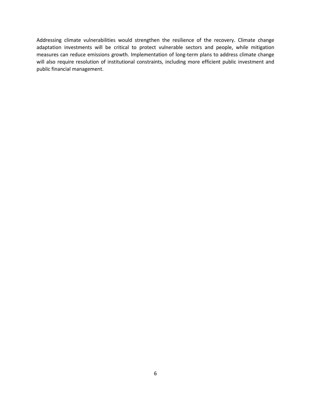Addressing climate vulnerabilities would strengthen the resilience of the recovery. Climate change adaptation investments will be critical to protect vulnerable sectors and people, while mitigation measures can reduce emissions growth. Implementation of long-term plans to address climate change will also require resolution of institutional constraints, including more efficient public investment and public financial management.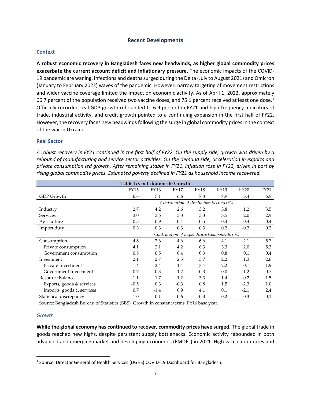#### **Recent Developments**

#### <span id="page-6-1"></span><span id="page-6-0"></span>**Context**

**A robust economic recovery in Bangladesh faces new headwinds, as higher global commodity prices exacerbate the current account deficit and inflationary pressure.** The economic impacts of the COVID-19 pandemic are waning. Infections and deaths surged during the Delta (July to August 2021) and Omicron (January to February 2022) waves of the pandemic. However, narrow targeting of movement restrictions and wider vaccine coverage limited the impact on economic activity. As of April 1, 2022, approximately 66.7 percent of the population received two vaccine doses, and 75.[1](#page-6-3) percent received at least one dose.<sup>1</sup> Officially recorded real GDP growth rebounded to 6.9 percent in FY21 and high frequency indicators of trade, industrial activity, and credit growth pointed to a continuing expansion in the first half of FY22. However, the recovery faces new headwinds following the surge in global commodity prices in the context of the war in Ukraine.

#### <span id="page-6-2"></span>**Real Sector**

*A robust recovery in FY21 continued in the first half of FY22. On the supply side, growth was driven by a rebound of manufacturing and service sector activities. On the demand side, acceleration in exports and private consumption led growth. After remaining stable in FY21, inflation rose in FY22, driven in part by rising global commodity prices. Estimated poverty declined in FY21 as household income recovered.*

| <b>Table 1: Contributions to Growth</b> |                                            |        |        |        |      |             |        |  |  |
|-----------------------------------------|--------------------------------------------|--------|--------|--------|------|-------------|--------|--|--|
|                                         | <b>FY15</b>                                | FY16   | FY17   | FY18   | FY19 | <b>FY20</b> | FY21   |  |  |
| GDP Growth                              | 6.6                                        | 7.1    | 6.6    | 7.3    | 7.9  | 3.4         | 6.9    |  |  |
|                                         | Contribution of Production Sectors (%)     |        |        |        |      |             |        |  |  |
| Industry                                | 2.7                                        | 4.2    | 2.6    | 3.2    | 3.8  | 1.2         | 3.5    |  |  |
| <b>Services</b>                         | 3.0                                        | 3.6    | 3.3    | 3.3    | 3.5  | 2.0         | 2.9    |  |  |
| Agriculture                             | 0.5                                        | $-0.9$ | 0.4    | 0.5    | 0.4  | 0.4         | 0.4    |  |  |
| Import duty                             | 0.3                                        | 0.3    | 0.3    | 0.3    | 0.2  | $-0.2$      | 0.2    |  |  |
|                                         | Contribution of Expenditure Components (%) |        |        |        |      |             |        |  |  |
| Consumption                             | 4.6                                        | 2.6    | 4.6    | 6.6    | 4.1  | 2.1         | 5.7    |  |  |
| Private consumption                     | 4.1                                        | 2.1    | 4.2    | 6.3    | 3.3  | 2.0         | 5.3    |  |  |
| Government consumption                  | 0.5                                        | 0.5    | 0.4    | 0.3    | 0.8  | 0.1         | 0.4    |  |  |
| Investment                              | 2.1                                        | 2.7    | 2.5    | 3.7    | 2.2  | 1.3         | 2.6    |  |  |
| Private Investment                      | 1.4                                        | 2.4    | 1.4    | 3.4    | 2.2  | 0.1         | 1.9    |  |  |
| Government Investment                   | 0.7                                        | 0.3    | 1.2    | 0.3    | 0.0  | 1.2         | 0.7    |  |  |
| Resource Balance                        | $-1.1$                                     | 1.7    | $-1.2$ | $-3.3$ | 1.4  | $-0.2$      | $-1.5$ |  |  |
| Exports, goods & services               | $-0.5$                                     | 0.3    | $-0.3$ | 0.8    | 1.5  | $-2.3$      | 1.0    |  |  |
| Imports, goods & services               | 0.7                                        | $-1.4$ | 0.9    | 4.1    | 0.1  | $-2.1$      | 2.4    |  |  |
| Statistical discrepancy                 | 1.0                                        | 0.1    | 0.6    | 0.3    | 0.2  | 0.3         | 0.1    |  |  |

Source: Bangladesh Bureau of Statistics (BBS), Growth in constant terms, FY16 base year.

#### *Growth*

**While the global economy has continued to recover, commodity prices have surged.** The global trade in goods reached new highs, despite persistent supply bottlenecks. Economic activity rebounded in both advanced and emerging market and developing economies (EMDEs) in 2021. High vaccination rates and

<span id="page-6-3"></span><sup>&</sup>lt;sup>1</sup> Source: Director General of Health Services (DGHS) COVID-19 Dashboard for Bangladesh.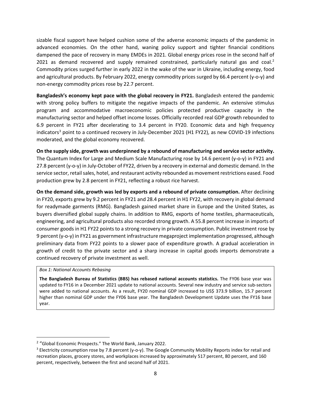sizable fiscal support have helped cushion some of the adverse economic impacts of the pandemic in advanced economies. On the other hand, waning policy support and tighter financial conditions dampened the pace of recovery in many EMDEs in 2021. Global energy prices rose in the second half of [2](#page-7-0)021 as demand recovered and supply remained constrained, particularly natural gas and coal.<sup>2</sup> Commodity prices surged further in early 2022 in the wake of the war in Ukraine, including energy, food and agricultural products. By February 2022, energy commodity prices surged by 66.4 percent (y-o-y) and non-energy commodity prices rose by 22.7 percent.

**Bangladesh's economy kept pace with the global recovery in FY21.** Bangladesh entered the pandemic with strong policy buffers to mitigate the negative impacts of the pandemic. An extensive stimulus program and accommodative macroeconomic policies protected productive capacity in the manufacturing sector and helped offset income losses. Officially recorded real GDP growth rebounded to 6.9 percent in FY21 after decelerating to 3.4 percent in FY20. Economic data and high frequency indicators<sup>[3](#page-7-1)</sup> point to a continued recovery in July-December 2021 (H1 FY22), as new COVID-19 infections moderated, and the global economy recovered.

**On the supply side, growth was underpinned by a rebound of manufacturing and service sector activity.** The Quantum Index for Large and Medium Scale Manufacturing rose by 14.6 percent (y-o-y) in FY21 and 27.8 percent (y-o-y) in July-October of FY22, driven by a recovery in external and domestic demand. In the service sector, retail sales, hotel, and restaurant activity rebounded as movement restrictions eased. Food production grew by 2.8 percent in FY21, reflecting a robust rice harvest.

**On the demand side, growth was led by exports and a rebound of private consumption.** After declining in FY20, exports grew by 9.2 percent in FY21 and 28.4 percent in H1 FY22, with recovery in global demand for readymade garments (RMG). Bangladesh gained market share in Europe and the United States, as buyers diversified global supply chains. In addition to RMG, exports of home textiles, pharmaceuticals, engineering, and agricultural products also recorded strong growth. A 55.8 percent increase in imports of consumer goods in H1 FY22 points to a strong recovery in private consumption. Public investment rose by 9 percent (y-o-y) in FY21 as government infrastructure megaproject implementation progressed, although preliminary data from FY22 points to a slower pace of expenditure growth. A gradual acceleration in growth of credit to the private sector and a sharp increase in capital goods imports demonstrate a continued recovery of private investment as well.

#### *Box 1: National Accounts Rebasing*

**The Bangladesh Bureau of Statistics (BBS) has rebased national accounts statistics.** The FY06 base year was updated to FY16 in a December 2021 update to national accounts. Several new industry and service sub-sectors were added to national accounts. As a result, FY20 nominal GDP increased to US\$ 373.9 billion, 15.7 percent higher than nominal GDP under the FY06 base year. The Bangladesh Development Update uses the FY16 base year.

<span id="page-7-0"></span><sup>&</sup>lt;sup>2</sup> "Global Economic Prospects." The World Bank, January 2022.

<span id="page-7-1"></span> $3$  Electricity consumption rose by 7.8 percent (y-o-y). The Google Community Mobility Reports index for retail and recreation places, grocery stores, and workplaces increased by approximately 517 percent, 80 percent, and 160 percent, respectively, between the first and second half of 2021.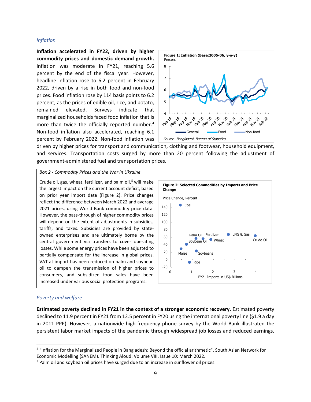#### *Inflation*

**Inflation accelerated in FY22, driven by higher commodity prices and domestic demand growth.** Inflation was moderate in FY21, reaching 5.6 percent by the end of the fiscal year. However, headline inflation rose to 6.2 percent in February 2022, driven by a rise in both food and non-food prices. Food inflation rose by 114 basis points to 6.2 percent, as the prices of edible oil, rice, and potato, remained elevated. Surveys indicate that marginalized households faced food inflation that is more than twice the officially reported number.<sup>[4](#page-8-0)</sup> Non-food inflation also accelerated, reaching 6.1 percent by February 2022. Non-food inflation was



driven by higher prices for transport and communication, clothing and footwear, household equipment, and services. Transportation costs surged by more than 20 percent following the adjustment of government-administered fuel and transportation prices.

*Box 2 - Commodity Prices and the War in Ukraine*

Crude oil, gas, wheat, fertilizer, and palm oil,<sup>[5](#page-8-1)</sup> will make the largest impact on the current account deficit, based on prior year import data (Figure 2). Price changes reflect the difference between March 2022 and average 2021 prices, using World Bank commodity price data. However, the pass-through of higher commodity prices will depend on the extent of adjustments in subsidies, tariffs, and taxes. Subsidies are provided by stateowned enterprises and are ultimately borne by the central government via transfers to cover operating losses. While some energy prices have been adjusted to partially compensate for the increase in global prices, VAT at import has been reduced on palm and soybean oil to dampen the transmission of higher prices to consumers, and subsidized food sales have been increased under various social protection programs.



#### *Poverty and welfare*

**Estimated poverty declined in FY21 in the context of a stronger economic recovery.** Estimated poverty declined to 11.9 percent in FY21 from 12.5 percent in FY20 using the international poverty line (\$1.9 a day in 2011 PPP). However, a nationwide high-frequency phone survey by the World Bank illustrated the persistent labor market impacts of the pandemic through widespread job losses and reduced earnings.

<span id="page-8-0"></span><sup>4</sup> "Inflation for the Marginalized People in Bangladesh: Beyond the official arithmetic". South Asian Network for Economic Modelling (SANEM). Thinking Aloud: Volume VIII, Issue 10: March 2022.

<span id="page-8-1"></span><sup>&</sup>lt;sup>5</sup> Palm oil and soybean oil prices have surged due to an increase in sunflower oil prices.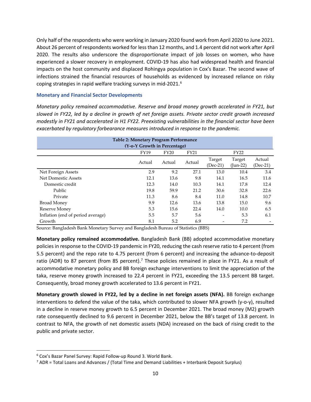Only half of the respondents who were working in January 2020 found work from April 2020 to June 2021. About 26 percent of respondents worked for less than 12 months, and 1.4 percent did not work after April 2020. The results also underscore the disproportionate impact of job losses on women, who have experienced a slower recovery in employment. COVID-19 has also had widespread health and financial impacts on the host community and displaced Rohingya population in Cox's Bazar. The second wave of infections strained the financial resources of households as evidenced by increased reliance on risky coping strategies in rapid welfare tracking surveys in mid-2021.<sup>[6](#page-9-1)</sup>

#### <span id="page-9-0"></span>**Monetary and Financial Sector Developments**

*Monetary policy remained accommodative. Reserve and broad money growth accelerated in FY21, but slowed in FY22, led by a decline in growth of net foreign assets. Private sector credit growth increased modestly in FY21 and accelerated in H1 FY22. Preexisting vulnerabilities in the financial sector have been exacerbated by regulatory forbearance measures introduced in response to the pandemic.*

| Table 2: Monetary Program Performance<br>(Y-o-Y Growth in Percentage) |                                            |        |        |                    |                          |                    |  |  |
|-----------------------------------------------------------------------|--------------------------------------------|--------|--------|--------------------|--------------------------|--------------------|--|--|
|                                                                       | <b>FY21</b><br><b>FY19</b><br>FY20<br>FY22 |        |        |                    |                          |                    |  |  |
|                                                                       | Actual                                     | Actual | Actual | Target<br>(Dec-21) | Target<br>$($ Iun-22 $)$ | Actual<br>(Dec-21) |  |  |
| Net Foreign Assets                                                    | 2.9                                        | 9.2    | 27.1   | 13.0               | 10.4                     | 3.4                |  |  |
| Net Domestic Assets                                                   | 12.1                                       | 13.6   | 9.8    | 14.1               | 16.5                     | 11.6               |  |  |
| Domestic credit                                                       | 12.3                                       | 14.0   | 10.3   | 14.1               | 17.8                     | 12.4               |  |  |
| Public                                                                | 19.8                                       | 59.9   | 21.2   | 30.6               | 32.8                     | 22.6               |  |  |
| Private                                                               | 11.3                                       | 8.6    | 8.4    | 11.0               | 14.8                     | 10.7               |  |  |
| Broad Money                                                           | 9.9                                        | 12.6   | 13.6   | 13.8               | 15.0                     | 9.6                |  |  |
| Reserve Money                                                         | 5.3                                        | 15.6   | 22.4   | 14.0               | 10.0                     | 6.5                |  |  |
| Inflation (end of period average)                                     | 5.5                                        | 5.7    | 5.6    |                    | 5.3                      | 6.1                |  |  |
| Growth                                                                | 8.1                                        | 5.2    | 6.9    |                    | 7.2                      |                    |  |  |

Source: Bangladesh Bank Monetary Survey and Bangladesh Bureau of Statistics (BBS)

**Monetary policy remained accommodative.** Bangladesh Bank (BB) adopted accommodative monetary policies in response to the COVID-19 pandemic in FY20, reducing the cash reserve ratio to 4 percent (from 5.5 percent) and the repo rate to 4.75 percent (from 6 percent) and increasing the advance-to-deposit ratio (ADR) to 8[7](#page-9-2) percent (from 85 percent).<sup>7</sup> These policies remained in place in FY21. As a result of accommodative monetary policy and BB foreign exchange interventions to limit the appreciation of the taka, reserve money growth increased to 22.4 percent in FY21, exceeding the 13.5 percent BB target. Consequently, broad money growth accelerated to 13.6 percent in FY21.

**Monetary growth slowed in FY22, led by a decline in net foreign assets (NFA).** BB foreign exchange interventions to defend the value of the taka, which contributed to slower NFA growth (y-o-y), resulted in a decline in reserve money growth to 6.5 percent in December 2021. The broad money (M2) growth rate consequently declined to 9.6 percent in December 2021, below the BB's target of 13.8 percent. In contrast to NFA, the growth of net domestic assets (NDA) increased on the back of rising credit to the public and private sector.

<span id="page-9-2"></span><span id="page-9-1"></span><sup>&</sup>lt;sup>6</sup> Cox's Bazar Panel Survey: Rapid Follow-up Round 3. World Bank.<br><sup>7</sup> ADR = Total Loans and Advances / (Total Time and Demand Liabilities + Interbank Deposit Surplus)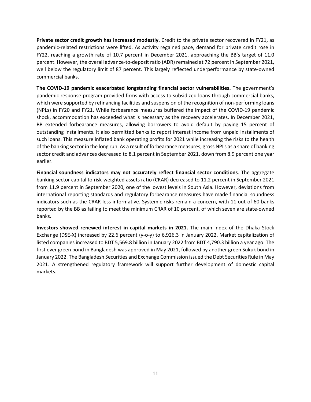**Private sector credit growth has increased modestly.** Credit to the private sector recovered in FY21, as pandemic-related restrictions were lifted. As activity regained pace, demand for private credit rose in FY22, reaching a growth rate of 10.7 percent in December 2021, approaching the BB's target of 11.0 percent. However, the overall advance-to-deposit ratio (ADR) remained at 72 percent in September 2021, well below the regulatory limit of 87 percent. This largely reflected underperformance by state-owned commercial banks.

**The COVID-19 pandemic exacerbated longstanding financial sector vulnerabilities.** The government's pandemic response program provided firms with access to subsidized loans through commercial banks, which were supported by refinancing facilities and suspension of the recognition of non-performing loans (NPLs) in FY20 and FY21. While forbearance measures buffered the impact of the COVID-19 pandemic shock, accommodation has exceeded what is necessary as the recovery accelerates. In December 2021, BB extended forbearance measures, allowing borrowers to avoid default by paying 15 percent of outstanding installments. It also permitted banks to report interest income from unpaid installments of such loans. This measure inflated bank operating profits for 2021 while increasing the risks to the health of the banking sector in the long run. As a result of forbearance measures, gross NPLs as a share of banking sector credit and advances decreased to 8.1 percent in September 2021, down from 8.9 percent one year earlier.

**Financial soundness indicators may not accurately reflect financial sector conditions**. The aggregate banking sector capital to risk-weighted assets ratio (CRAR) decreased to 11.2 percent in September 2021 from 11.9 percent in September 2020, one of the lowest levels in South Asia. However, deviations from international reporting standards and regulatory forbearance measures have made financial soundness indicators such as the CRAR less informative. Systemic risks remain a concern, with 11 out of 60 banks reported by the BB as failing to meet the minimum CRAR of 10 percent, of which seven are state-owned banks.

<span id="page-10-0"></span>**Investors showed renewed interest in capital markets in 2021.** The main index of the Dhaka Stock Exchange (DSE-X) increased by 22.6 percent (y-o-y) to 6,926.3 in January 2022. Market capitalization of listed companies increased to BDT 5,569.8 billion in January 2022 from BDT 4,790.3 billion a year ago. The first ever green bond in Bangladesh was approved in May 2021, followed by another green Sukuk bond in January 2022. The Bangladesh Securities and Exchange Commission issued the Debt Securities Rule in May 2021. A strengthened regulatory framework will support further development of domestic capital markets.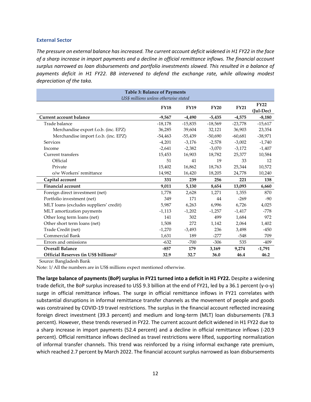#### **External Sector**

*The pressure on external balance has increased. The current account deficit widened in H1 FY22 in the face of a sharp increase in import payments and a decline in official remittance inflows. The financial account surplus narrowed as loan disbursements and portfolio investments slowed. This resulted in a balance of payments deficit in H1 FY22. BB intervened to defend the exchange rate, while allowing modest depreciation of the taka.* 

| <b>Table 3: Balance of Payments</b>               |             |             |             |             |                          |  |  |  |  |
|---------------------------------------------------|-------------|-------------|-------------|-------------|--------------------------|--|--|--|--|
| US\$ millions unless otherwise stated             |             |             |             |             |                          |  |  |  |  |
|                                                   | <b>FY18</b> | <b>FY19</b> | <b>FY20</b> | <b>FY21</b> | <b>FY22</b><br>(Jul-Dec) |  |  |  |  |
| Current account balance                           | $-9,567$    | $-4,490$    | $-5,435$    | $-4,575$    | $-8,180$                 |  |  |  |  |
| Trade balance                                     | $-18,178$   | $-15,835$   | $-18,569$   | $-23,778$   | $-15,617$                |  |  |  |  |
| Merchandise export f.o.b. (inc. EPZ)              | 36,285      | 39,604      | 32,121      | 36,903      | 23,354                   |  |  |  |  |
| Merchandise import f.o.b. (inc. EPZ)              | $-54,463$   | $-55,439$   | $-50,690$   | $-60,681$   | $-38,971$                |  |  |  |  |
| <b>Services</b>                                   | $-4,201$    | $-3,176$    | $-2,578$    | $-3,002$    | $-1,740$                 |  |  |  |  |
| Income                                            | $-2,641$    | $-2,382$    | $-3,070$    | $-3,172$    | $-1,407$                 |  |  |  |  |
| Current transfers                                 | 15,453      | 16,903      | 18,782      | 25,377      | 10,584                   |  |  |  |  |
| Official                                          | 51          | 41          | 19          | 33          | 12                       |  |  |  |  |
| Private                                           | 15,402      | 16,862      | 18,763      | 25,344      | 10,572                   |  |  |  |  |
| o/w Workers' remittance                           | 14,982      | 16,420      | 18,205      | 24,778      | 10,240                   |  |  |  |  |
| Capital account                                   | 331         | 239         | 256         | 221         | 138                      |  |  |  |  |
| <b>Financial account</b>                          | 9,011       | 5,130       | 8,654       | 13,093      | 6,660                    |  |  |  |  |
| Foreign direct investment (net)                   | 1,778       | 2,628       | 1,271       | 1,355       | 870                      |  |  |  |  |
| Portfolio investment (net)                        | 349         | 171         | 44          | $-269$      | $-90$                    |  |  |  |  |
| MLT loans (excludes suppliers' credit)            | 5,987       | 6,263       | 6,996       | 6,726       | 4,025                    |  |  |  |  |
| MLT amortization payments                         | $-1,113$    | $-1,202$    | $-1,257$    | $-1,417$    | $-778$                   |  |  |  |  |
| Other long term loans (net)                       | 141         | 302         | 499         | 1,684       | 972                      |  |  |  |  |
| Other short term loans (net)                      | 1,508       | 272         | 1,142       | 2,064       | 1,402                    |  |  |  |  |
| Trade Credit (net)                                | $-1,270$    | $-3,493$    | 236         | 3,498       | $-450$                   |  |  |  |  |
| <b>Commercial Bank</b>                            | 1,631       | 189         | $-277$      | $-548$      | 709                      |  |  |  |  |
| Errors and omissions                              | $-632$      | $-700$      | $-306$      | 535         | $-409$                   |  |  |  |  |
| <b>Overall Balance</b>                            | $-857$      | 179         | 3,169       | 9,274       | $-1,791$                 |  |  |  |  |
| Official Reserves (in US\$ billions) <sup>1</sup> | 32.9        | 32.7        | 36.0        | 46.4        | 46.2                     |  |  |  |  |

Source: Bangladesh Bank

Note: 1/ All the numbers are in US\$ millions expect mentioned otherwise.

**The large balance of payments (BoP) surplus in FY21 turned into a deficit in H1 FY22.** Despite a widening trade deficit, the BoP surplus increased to US\$ 9.3 billion at the end of FY21, led by a 36.1 percent (y-o-y) surge in official remittance inflows. The surge in official remittance inflows in FY21 correlates with substantial disruptions in informal remittance transfer channels as the movement of people and goods was constrained by COVID-19 travel restrictions. The surplus in the financial account reflected increasing foreign direct investment (39.3 percent) and medium and long-term (MLT) loan disbursements (78.3 percent). However, these trends reversed in FY22. The current account deficit widened in H1 FY22 due to a sharp increase in import payments (52.4 percent) and a decline in official remittance inflows (-20.9 percent). Official remittance inflows declined as travel restrictions were lifted, supporting normalization of informal transfer channels. This trend was reinforced by a rising informal exchange rate premium, which reached 2.7 percent by March 2022. The financial account surplus narrowed as loan disbursements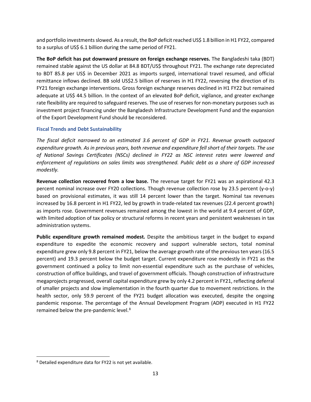and portfolio investments slowed. As a result, the BoP deficit reached US\$ 1.8 billion in H1 FY22, compared to a surplus of US\$ 6.1 billion during the same period of FY21.

**The BoP deficit has put downward pressure on foreign exchange reserves.** The Bangladeshi taka (BDT) remained stable against the US dollar at 84.8 BDT/US\$ throughout FY21. The exchange rate depreciated to BDT 85.8 per US\$ in December 2021 as imports surged, international travel resumed, and official remittance inflows declined. BB sold US\$2.5 billion of reserves in H1 FY22, reversing the direction of its FY21 foreign exchange interventions. Gross foreign exchange reserves declined in H1 FY22 but remained adequate at US\$ 44.5 billion. In the context of an elevated BoP deficit, vigilance, and greater exchange rate flexibility are required to safeguard reserves. The use of reserves for non-monetary purposes such as investment project financing under the Bangladesh Infrastructure Development Fund and the expansion of the Export Development Fund should be reconsidered.

#### <span id="page-12-0"></span>**Fiscal Trends and Debt Sustainability**

*The fiscal deficit narrowed to an estimated 3.6 percent of GDP in FY21. Revenue growth outpaced expenditure growth. As in previous years, both revenue and expenditure fell short of their targets. The use of National Savings Certificates (NSCs) declined in FY22 as NSC interest rates were lowered and enforcement of regulations on sales limits was strengthened. Public debt as a share of GDP increased modestly.* 

**Revenue collection recovered from a low base.** The revenue target for FY21 was an aspirational 42.3 percent nominal increase over FY20 collections. Though revenue collection rose by 23.5 percent (y-o-y) based on provisional estimates, it was still 14 percent lower than the target. Nominal tax revenues increased by 16.8 percent in H1 FY22, led by growth in trade-related tax revenues (22.4 percent growth) as imports rose. Government revenues remained among the lowest in the world at 9.4 percent of GDP, with limited adoption of tax policy or structural reforms in recent years and persistent weaknesses in tax administration systems.

**Public expenditure growth remained modest.** Despite the ambitious target in the budget to expand expenditure to expedite the economic recovery and support vulnerable sectors, total nominal expenditure grew only 9.8 percent in FY21, below the average growth rate of the previous ten years(16.5 percent) and 19.3 percent below the budget target. Current expenditure rose modestly in FY21 as the government continued a policy to limit non-essential expenditure such as the purchase of vehicles, construction of office buildings, and travel of government officials. Though construction of infrastructure megaprojects progressed, overall capital expenditure grew by only 4.2 percent in FY21, reflecting deferral of smaller projects and slow implementation in the fourth quarter due to movement restrictions. In the health sector, only 59.9 percent of the FY21 budget allocation was executed, despite the ongoing pandemic response. The percentage of the Annual Development Program (ADP) executed in H1 FY22 remained below the pre-pandemic level.<sup>[8](#page-12-1)</sup>

<span id="page-12-1"></span><sup>8</sup> Detailed expenditure data for FY22 is not yet available.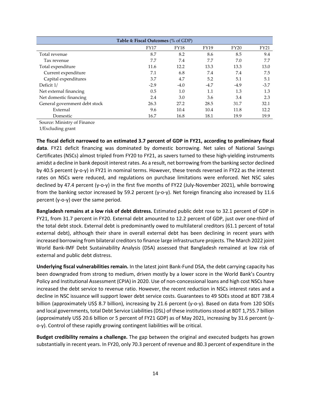| Table 4: Fiscal Outcomes (% of GDP)                              |        |        |        |        |        |  |  |  |  |  |
|------------------------------------------------------------------|--------|--------|--------|--------|--------|--|--|--|--|--|
| <b>FY18</b><br><b>FY19</b><br><b>FY20</b><br>FY21<br><b>FY17</b> |        |        |        |        |        |  |  |  |  |  |
| Total revenue                                                    | 8.7    | 8.2    | 8.6    | 8.5    | 9.4    |  |  |  |  |  |
| Tax revenue                                                      | 7.7    | 7.4    | 7.7    | 7.0    | 7.7    |  |  |  |  |  |
| Total expenditure                                                | 11.6   | 12.2   | 13.3   | 13.3   | 13.0   |  |  |  |  |  |
| Current expenditure                                              | 7.1    | 6.8    | 7.4    | 7.4    | 7.5    |  |  |  |  |  |
| Capital expenditures                                             | 3.7    | 4.7    | 5.2    | 5.1    | 5.1    |  |  |  |  |  |
| Deficit 1/                                                       | $-2.9$ | $-4.0$ | $-4.7$ | $-4.9$ | $-3.7$ |  |  |  |  |  |
| Net external financing                                           | 0.5    | 1.0    | 1.1    | 1.3    | 1.3    |  |  |  |  |  |
| Net domestic financing                                           | 2.4    | 3.0    | 3.6    | 3.4    | 2.3    |  |  |  |  |  |
| General government debt stock                                    | 26.3   | 27.2   | 28.5   | 31.7   | 32.1   |  |  |  |  |  |
| External                                                         | 9.6    | 10.4   | 10.4   | 11.8   | 12.2   |  |  |  |  |  |
| Domestic                                                         | 16.7   | 16.8   | 18.1   | 19.9   | 19.9   |  |  |  |  |  |

Source: Ministry of Finance

1/Excluding grant

**The fiscal deficit narrowed to an estimated 3.7 percent of GDP in FY21, according to preliminary fiscal data**. FY21 deficit financing was dominated by domestic borrowing. Net sales of National Savings Certificates (NSCs) almost tripled from FY20 to FY21, as savers turned to these high-yielding instruments amidst a decline in bank deposit interest rates. As a result, net borrowing from the banking sector declined by 40.5 percent (y-o-y) in FY21 in nominal terms. However, these trends reversed in FY22 as the interest rates on NSCs were reduced, and regulations on purchase limitations were enforced. Net NSC sales declined by 47.4 percent (y-o-y) in the first five months of FY22 (July-November 2021), while borrowing from the banking sector increased by 59.2 percent (y-o-y). Net foreign financing also increased by 11.6 percent (y-o-y) over the same period.

**Bangladesh remains at a low risk of debt distress.** Estimated public debt rose to 32.1 percent of GDP in FY21, from 31.7 percent in FY20. External debt amounted to 12.2 percent of GDP, just over one-third of the total debt stock. External debt is predominantly owed to multilateral creditors (61.1 percent of total external debt), although their share in overall external debt has been declining in recent years with increased borrowing from bilateral creditors to finance large infrastructure projects. The March 2022 joint World Bank-IMF Debt Sustainability Analysis (DSA) assessed that Bangladesh remained at low risk of external and public debt distress.

**Underlying fiscal vulnerabilities remain.** In the latest joint Bank-Fund DSA, the debt carrying capacity has been downgraded from strong to medium, driven mostly by a lower score in the World Bank's Country Policy and Institutional Assessment (CPIA) in 2020. Use of non-concessional loans and high cost NSCs have increased the debt service to revenue ratio. However, the recent reduction in NSCs interest rates and a decline in NSC issuance will support lower debt service costs. Guarantees to 49 SOEs stood at BDT 738.4 billion (approximately US\$ 8.7 billion), increasing by 21.6 percent (y-o-y). Based on data from 120 SOEs and local governments, total Debt Service Liabilities (DSL) of these institutions stood at BDT 1,755.7 billion (approximately US\$ 20.6 billion or 5 percent of FY21 GDP) as of May 2021, increasing by 31.6 percent (yo-y). Control of these rapidly growing contingent liabilities will be critical.

**Budget credibility remains a challenge.** The gap between the original and executed budgets has grown substantially in recent years. In FY20, only 70.3 percent of revenue and 80.3 percent of expenditure in the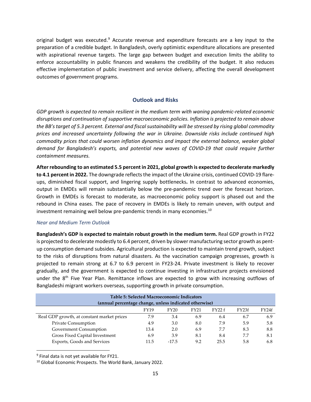original budget was executed.<sup>[9](#page-14-1)</sup> Accurate revenue and expenditure forecasts are a key input to the preparation of a credible budget. In Bangladesh, overly optimistic expenditure allocations are presented with aspirational revenue targets. The large gap between budget and execution limits the ability to enforce accountability in public finances and weakens the credibility of the budget. It also reduces effective implementation of public investment and service delivery, affecting the overall development outcomes of government programs.

#### **Outlook and Risks**

<span id="page-14-0"></span>*GDP growth is expected to remain resilient in the medium term with waning pandemic-related economic disruptions and continuation of supportive macroeconomic policies. Inflation is projected to remain above the BB's target of 5.3 percent. External and fiscal sustainability will be stressed by rising global commodity prices and increased uncertainty following the war in Ukraine. Downside risks include continued high commodity prices that could worsen inflation dynamics and impact the external balance, weaker global demand for Bangladesh's exports, and potential new waves of COVID-19 that could require further containment measures.*

**After rebounding to an estimated 5.5 percent in 2021, global growth is expected to decelerate markedly to 4.1 percent in 2022.** The downgrade reflects the impact of the Ukraine crisis, continued COVID-19 flareups, diminished fiscal support, and lingering supply bottlenecks**.** In contrast to advanced economies, output in EMDEs will remain substantially below the pre-pandemic trend over the forecast horizon. Growth in EMDEs is forecast to moderate, as macroeconomic policy support is phased out and the rebound in China eases. The pace of recovery in EMDEs is likely to remain uneven, with output and investment remaining well below pre-pandemic trends in many economies. [10](#page-14-2)

#### *Near and Medium Term Outlook*

**Bangladesh's GDP is expected to maintain robust growth in the medium term.** Real GDP growth in FY22 is projected to decelerate modestly to 6.4 percent, driven by slower manufacturing sector growth as pentup consumption demand subsides. Agricultural production is expected to maintain trend growth, subject to the risks of disruptions from natural disasters. As the vaccination campaign progresses, growth is projected to remain strong at 6.7 to 6.9 percent in FY23-24. Private investment is likely to recover gradually, and the government is expected to continue investing in infrastructure projects envisioned under the  $8<sup>th</sup>$  Five Year Plan. Remittance inflows are expected to grow with increasing outflows of Bangladeshi migrant workers overseas, supporting growth in private consumption.

| Table 5: Selected Macroeconomic Indicators                         |      |         |     |      |     |     |  |  |
|--------------------------------------------------------------------|------|---------|-----|------|-----|-----|--|--|
| (annual percentage change, unless indicated otherwise)             |      |         |     |      |     |     |  |  |
| FY24f<br>FY <sub>23f</sub><br>FY22f<br>FY21<br><b>FY19</b><br>FY20 |      |         |     |      |     |     |  |  |
| Real GDP growth, at constant market prices                         | 7.9  | 3.4     | 6.9 | 6.4  | 6.7 | 6.9 |  |  |
| Private Consumption                                                | 4.9  | 3.0     | 8.0 | 7.9  | 5.9 | 5.8 |  |  |
| Government Consumption                                             | 13.4 | 2.0     | 6.9 | 7.7  | 8.3 | 8.8 |  |  |
| Gross Fixed Capital Investment                                     | 6.9  | 3.9     | 8.1 | 8.4  | 7.7 | 8.1 |  |  |
| Exports, Goods and Services                                        | 11.5 | $-17.5$ | 9.2 | 25.5 | 5.8 | 6.8 |  |  |

<span id="page-14-1"></span><sup>9</sup> Final data is not yet available for FY21.

<span id="page-14-2"></span><sup>10</sup> Global Economic Prospects. The World Bank, January 2022.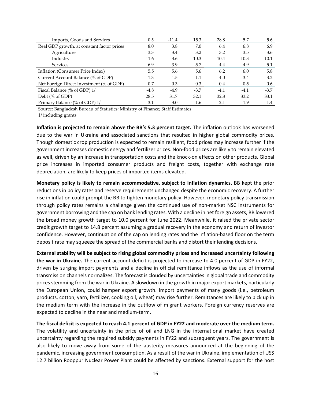| Imports, Goods and Services                | 0.5    | $-11.4$ | 15.3   | 28.8   | 5.7    | 5.6    |
|--------------------------------------------|--------|---------|--------|--------|--------|--------|
| Real GDP growth, at constant factor prices | 8.0    | 3.8     | 7.0    | 6.4    | 6.8    | 6.9    |
| Agriculture                                | 3.3    | 3.4     | 3.2    | 3.2    | 3.5    | 3.6    |
| Industry                                   | 11.6   | 3.6     | 10.3   | 10.4   | 10.3   | 10.1   |
| <b>Services</b>                            | 6.9    | 3.9     | 5.7    | 4.4    | 4.9    | 5.1    |
| Inflation (Consumer Price Index)           | 5.5    | 5.6     | 5.6    | 6.2    | 6.0    | 5.8    |
| Current Account Balance (% of GDP)         | $-1.3$ | $-1.5$  | $-1.1$ | $-4.0$ | $-3.4$ | $-3.2$ |
| Net Foreign Direct Investment (% of GDP)   | 0.7    | 0.3     | 0.3    | 0.4    | 0.5    | 0.6    |
| Fiscal Balance (% of GDP) 1/               | $-4.8$ | $-4.9$  | $-3.7$ | $-4.1$ | $-4.1$ | $-3.7$ |
| Debt (% of GDP)                            | 28.5   | 31.7    | 32.1   | 32.8   | 33.2   | 33.1   |
| Primary Balance (% of GDP) 1/              | $-3.1$ | $-3.0$  | $-1.6$ | $-2.1$ | $-1.9$ | $-1.4$ |

Source: Bangladesh Bureau of Statistics; Ministry of Finance; Staff Estimates 1/ including grants

**Inflation is projected to remain above the BB's 5.3 percent target.** The inflation outlook has worsened due to the war in Ukraine and associated sanctions that resulted in higher global commodity prices. Though domestic crop production is expected to remain resilient, food prices may increase further if the government increases domestic energy and fertilizer prices. Non-food prices are likely to remain elevated as well, driven by an increase in transportation costs and the knock-on effects on other products. Global price increases in imported consumer products and freight costs, together with exchange rate depreciation, are likely to keep prices of imported items elevated.

**Monetary policy is likely to remain accommodative, subject to inflation dynamics.** BB kept the prior reductions in policy rates and reserve requirements unchanged despite the economic recovery. A further rise in inflation could prompt the BB to tighten monetary policy. However, monetary policy transmission through policy rates remains a challenge given the continued use of non-market NSC instruments for government borrowing and the cap on bank lending rates. With a decline in net foreign assets, BB lowered the broad money growth target to 10.0 percent for June 2022. Meanwhile, it raised the private sector credit growth target to 14.8 percent assuming a gradual recovery in the economy and return of investor confidence. However, continuation of the cap on lending rates and the inflation-based floor on the term deposit rate may squeeze the spread of the commercial banks and distort their lending decisions.

**External stability will be subject to rising global commodity prices and increased uncertainty following the war in Ukraine.** The current account deficit is projected to increase to 4.0 percent of GDP in FY22, driven by surging import payments and a decline in official remittance inflows as the use of informal transmission channels normalizes. The forecast is clouded by uncertainties in global trade and commodity prices stemming from the war in Ukraine. A slowdown in the growth in major export markets, particularly the European Union, could hamper export growth. Import payments of many goods (i.e., petroleum products, cotton, yarn, fertilizer, cooking oil, wheat) may rise further. Remittances are likely to pick up in the medium term with the increase in the outflow of migrant workers. Foreign currency reserves are expected to decline in the near and medium-term.

**The fiscal deficit is expected to reach 4.1 percent of GDP in FY22 and moderate over the medium term.** The volatility and uncertainty in the price of oil and LNG in the international market have created uncertainty regarding the required subsidy payments in FY22 and subsequent years. The government is also likely to move away from some of the austerity measures announced at the beginning of the pandemic, increasing government consumption. As a result of the war in Ukraine, implementation of US\$ 12.7 billion Rooppur Nuclear Power Plant could be affected by sanctions. External support for the host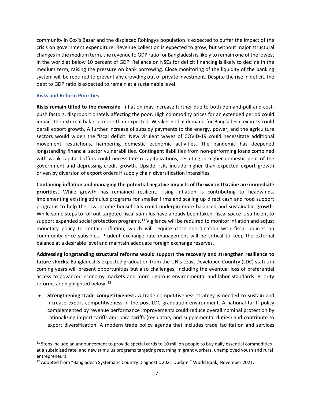community in Cox's Bazar and the displaced Rohingya population is expected to buffer the impact of the crisis on government expenditure. Revenue collection is expected to grow, but without major structural changesin the medium term, the revenue to GDP ratio for Bangladesh is likely to remain one of the lowest in the world at below 10 percent of GDP. Reliance on NSCs for deficit financing is likely to decline in the medium term, raising the pressure on bank borrowing. Close monitoring of the liquidity of the banking system will be required to prevent any crowding out of private investment. Despite the rise in deficit, the debt to GDP ratio is expected to remain at a sustainable level.

#### <span id="page-16-0"></span>**Risks and Reform Priorities**

**Risks remain tilted to the downside**. Inflation may increase further due to both demand-pull and costpush factors, disproportionately affecting the poor. High commodity prices for an extended period could impact the external balance more than expected. Weaker global demand for Bangladeshi exports could derail export growth. A further increase of subsidy payments to the energy, power, and the agriculture sectors would widen the fiscal deficit. New virulent waves of COVID-19 could necessitate additional movement restrictions, hampering domestic economic activities. The pandemic has deepened longstanding financial sector vulnerabilities. Contingent liabilities from non-performing loans combined with weak capital buffers could necessitate recapitalizations, resulting in higher domestic debt of the government and depressing credit growth. Upside risks include higher than expected export growth driven by diversion of export orders if supply chain diversification intensifies.

**Containing inflation and managing the potential negative impacts of the war in Ukraine are immediate priorities.** While growth has remained resilient, rising inflation is contributing to headwinds. Implementing existing stimulus programs for smaller firms and scaling up direct cash and food support programs to help the low-income households could underpin more balanced and sustainable growth. While some steps to roll out targeted fiscal stimulus have already been taken, fiscal space is sufficient to support expanded social protection programs.<sup>[11](#page-16-1)</sup> Vigilance will be required to monitor inflation and adjust monetary policy to contain inflation, which will require close coordination with fiscal policies on commodity price subsidies. Prudent exchange rate management will be critical to keep the external balance at a desirable level and maintain adequate foreign exchange reserves.

**Addressing longstanding structural reforms would support the recovery and strengthen resilience to future shocks**. Bangladesh's expected graduation from the UN's Least Developed Country (LDC) status in coming years will present opportunities but also challenges, including the eventual loss of preferential access to advanced economy markets and more rigorous environmental and labor standards. Priority reforms are highlighted below. [12](#page-16-2)

• **Strengthening trade competitiveness.** A trade competitiveness strategy is needed to sustain and increase export competitiveness in the post-LDC graduation environment. A national tariff policy complemented by revenue performance improvements could reduce overall nominal protection by rationalizing import tariffs and para-tariffs (regulatory and supplemental duties) and contribute to export diversification. A modern trade policy agenda that includes trade facilitation and services

<span id="page-16-1"></span> $11$  Steps include an announcement to provide special cards to 10 million people to buy daily essential commodities at a subsidized rate, and new stimulus programs targeting returning migrant workers, unemployed youth and rural entrepreneurs.

<span id="page-16-2"></span><sup>&</sup>lt;sup>12</sup> Adopted from "Bangladesh Systematic Country Diagnostic 2021 Update." World Bank, November 2021.